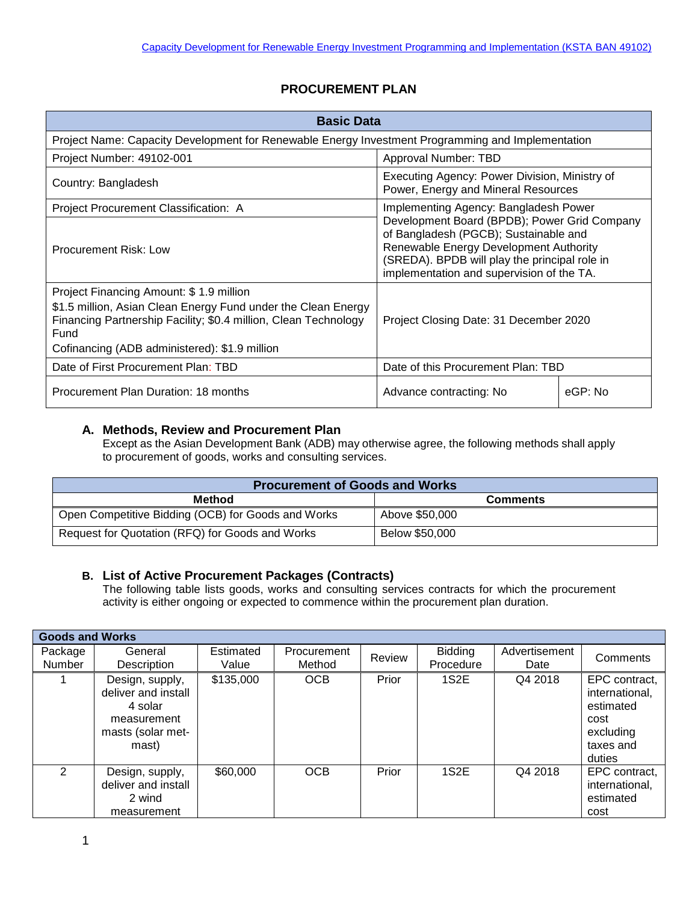## **PROCUREMENT PLAN**

| <b>Basic Data</b>                                                                                                                                                                                                                    |                                                                                                                                                                                                                               |         |  |  |
|--------------------------------------------------------------------------------------------------------------------------------------------------------------------------------------------------------------------------------------|-------------------------------------------------------------------------------------------------------------------------------------------------------------------------------------------------------------------------------|---------|--|--|
| Project Name: Capacity Development for Renewable Energy Investment Programming and Implementation                                                                                                                                    |                                                                                                                                                                                                                               |         |  |  |
| Project Number: 49102-001<br>Approval Number: TBD                                                                                                                                                                                    |                                                                                                                                                                                                                               |         |  |  |
| Country: Bangladesh                                                                                                                                                                                                                  | Executing Agency: Power Division, Ministry of<br>Power, Energy and Mineral Resources                                                                                                                                          |         |  |  |
| Project Procurement Classification: A                                                                                                                                                                                                | Implementing Agency: Bangladesh Power                                                                                                                                                                                         |         |  |  |
| Procurement Risk: Low                                                                                                                                                                                                                | Development Board (BPDB); Power Grid Company<br>of Bangladesh (PGCB); Sustainable and<br>Renewable Energy Development Authority<br>(SREDA). BPDB will play the principal role in<br>implementation and supervision of the TA. |         |  |  |
| Project Financing Amount: \$1.9 million<br>\$1.5 million, Asian Clean Energy Fund under the Clean Energy<br>Financing Partnership Facility; \$0.4 million, Clean Technology<br>Fund<br>Cofinancing (ADB administered): \$1.9 million | Project Closing Date: 31 December 2020                                                                                                                                                                                        |         |  |  |
| Date of First Procurement Plan: TBD                                                                                                                                                                                                  | Date of this Procurement Plan: TBD                                                                                                                                                                                            |         |  |  |
| Procurement Plan Duration: 18 months                                                                                                                                                                                                 | Advance contracting: No                                                                                                                                                                                                       | eGP: No |  |  |

## **A. Methods, Review and Procurement Plan**

Except as the Asian Development Bank (ADB) may otherwise agree, the following methods shall apply to procurement of goods, works and consulting services.

| <b>Procurement of Goods and Works</b>              |                 |  |  |  |  |
|----------------------------------------------------|-----------------|--|--|--|--|
| Method                                             | <b>Comments</b> |  |  |  |  |
| Open Competitive Bidding (OCB) for Goods and Works | Above \$50,000  |  |  |  |  |
| Request for Quotation (RFQ) for Goods and Works    | Below \$50,000  |  |  |  |  |

## **B. List of Active Procurement Packages (Contracts)**

The following table lists goods, works and consulting services contracts for which the procurement activity is either ongoing or expected to commence within the procurement plan duration.

| <b>Goods and Works</b>   |                                                                                                |                    |                       |        |                             |                       |                                                                                          |
|--------------------------|------------------------------------------------------------------------------------------------|--------------------|-----------------------|--------|-----------------------------|-----------------------|------------------------------------------------------------------------------------------|
| Package<br><b>Number</b> | General<br>Description                                                                         | Estimated<br>Value | Procurement<br>Method | Review | <b>Bidding</b><br>Procedure | Advertisement<br>Date | Comments                                                                                 |
|                          | Design, supply,<br>deliver and install<br>4 solar<br>measurement<br>masts (solar met-<br>mast) | \$135,000          | OCB                   | Prior  | 1S2E                        | Q4 2018               | EPC contract,<br>international,<br>estimated<br>cost<br>excluding<br>taxes and<br>duties |
| $\mathcal{P}$            | Design, supply,<br>deliver and install<br>2 wind<br>measurement                                | \$60,000           | <b>OCB</b>            | Prior  | 1S2E                        | Q4 2018               | EPC contract,<br>international,<br>estimated<br>cost                                     |